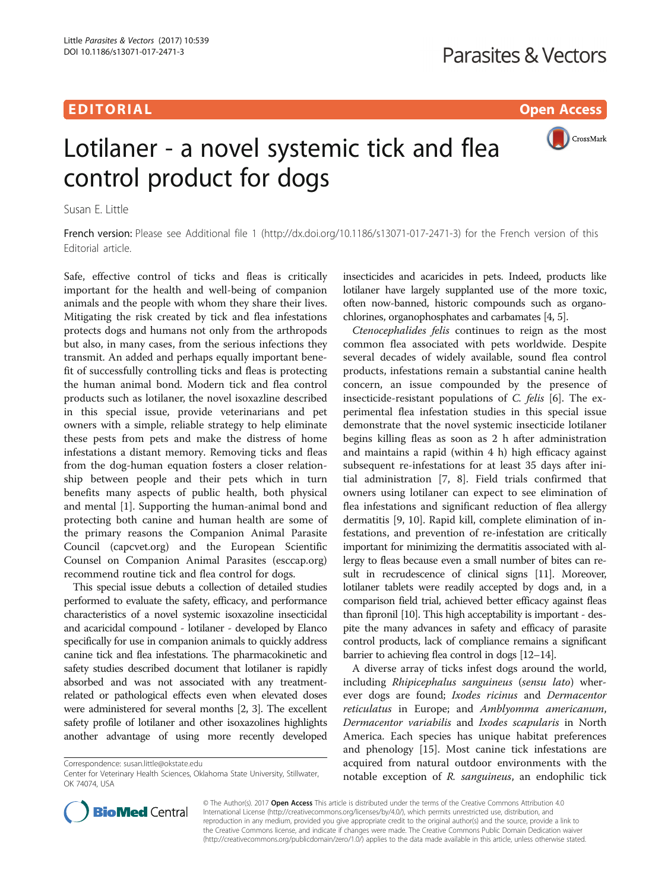## EDI TORIA L Open Access



# Lotilaner - a novel systemic tick and flea control product for dogs

Susan E. Little

French version: Please see Additional file 1 ([http://dx.doi.org/10.1186/s13071-017-2471-3\)](http://dx.doi.org/10.1186/s13071-017-2471-3) for the French version of this Editorial article.

Safe, effective control of ticks and fleas is critically important for the health and well-being of companion animals and the people with whom they share their lives. Mitigating the risk created by tick and flea infestations protects dogs and humans not only from the arthropods but also, in many cases, from the serious infections they transmit. An added and perhaps equally important benefit of successfully controlling ticks and fleas is protecting the human animal bond. Modern tick and flea control products such as lotilaner, the novel isoxazline described in this special issue, provide veterinarians and pet owners with a simple, reliable strategy to help eliminate these pests from pets and make the distress of home infestations a distant memory. Removing ticks and fleas from the dog-human equation fosters a closer relationship between people and their pets which in turn benefits many aspects of public health, both physical and mental [[1\]](#page-1-0). Supporting the human-animal bond and protecting both canine and human health are some of the primary reasons the Companion Animal Parasite Council ([capcvet.org](http://capcvet.org)) and the European Scientific Counsel on Companion Animal Parasites [\(esccap.org](http://esccap.org)) recommend routine tick and flea control for dogs.

This special issue debuts a collection of detailed studies performed to evaluate the safety, efficacy, and performance characteristics of a novel systemic isoxazoline insecticidal and acaricidal compound - lotilaner - developed by Elanco specifically for use in companion animals to quickly address canine tick and flea infestations. The pharmacokinetic and safety studies described document that lotilaner is rapidly absorbed and was not associated with any treatmentrelated or pathological effects even when elevated doses were administered for several months [[2](#page-1-0), [3\]](#page-1-0). The excellent safety profile of lotilaner and other isoxazolines highlights another advantage of using more recently developed

Correspondence: [susan.little@okstate.edu](mailto:susan.little@okstate.edu)

insecticides and acaricides in pets. Indeed, products like lotilaner have largely supplanted use of the more toxic, often now-banned, historic compounds such as organochlorines, organophosphates and carbamates [[4](#page-1-0), [5\]](#page-1-0).

Ctenocephalides felis continues to reign as the most common flea associated with pets worldwide. Despite several decades of widely available, sound flea control products, infestations remain a substantial canine health concern, an issue compounded by the presence of insecticide-resistant populations of C. felis [[6\]](#page-1-0). The experimental flea infestation studies in this special issue demonstrate that the novel systemic insecticide lotilaner begins killing fleas as soon as 2 h after administration and maintains a rapid (within 4 h) high efficacy against subsequent re-infestations for at least 35 days after initial administration [[7](#page-1-0), [8\]](#page-1-0). Field trials confirmed that owners using lotilaner can expect to see elimination of flea infestations and significant reduction of flea allergy dermatitis [\[9](#page-1-0), [10](#page-1-0)]. Rapid kill, complete elimination of infestations, and prevention of re-infestation are critically important for minimizing the dermatitis associated with allergy to fleas because even a small number of bites can result in recrudescence of clinical signs [[11](#page-1-0)]. Moreover, lotilaner tablets were readily accepted by dogs and, in a comparison field trial, achieved better efficacy against fleas than fipronil [[10](#page-1-0)]. This high acceptability is important - despite the many advances in safety and efficacy of parasite control products, lack of compliance remains a significant barrier to achieving flea control in dogs [\[12](#page-1-0)–[14\]](#page-1-0).

A diverse array of ticks infest dogs around the world, including Rhipicephalus sanguineus (sensu lato) wherever dogs are found; Ixodes ricinus and Dermacentor reticulatus in Europe; and Amblyomma americanum, Dermacentor variabilis and Ixodes scapularis in North America. Each species has unique habitat preferences and phenology [[15](#page-1-0)]. Most canine tick infestations are acquired from natural outdoor environments with the notable exception of R. sanguineus, an endophilic tick



© The Author(s). 2017 **Open Access** This article is distributed under the terms of the Creative Commons Attribution 4.0 International License [\(http://creativecommons.org/licenses/by/4.0/](http://creativecommons.org/licenses/by/4.0/)), which permits unrestricted use, distribution, and reproduction in any medium, provided you give appropriate credit to the original author(s) and the source, provide a link to the Creative Commons license, and indicate if changes were made. The Creative Commons Public Domain Dedication waiver [\(http://creativecommons.org/publicdomain/zero/1.0/](http://creativecommons.org/publicdomain/zero/1.0/)) applies to the data made available in this article, unless otherwise stated.

Center for Veterinary Health Sciences, Oklahoma State University, Stillwater, OK 74074, USA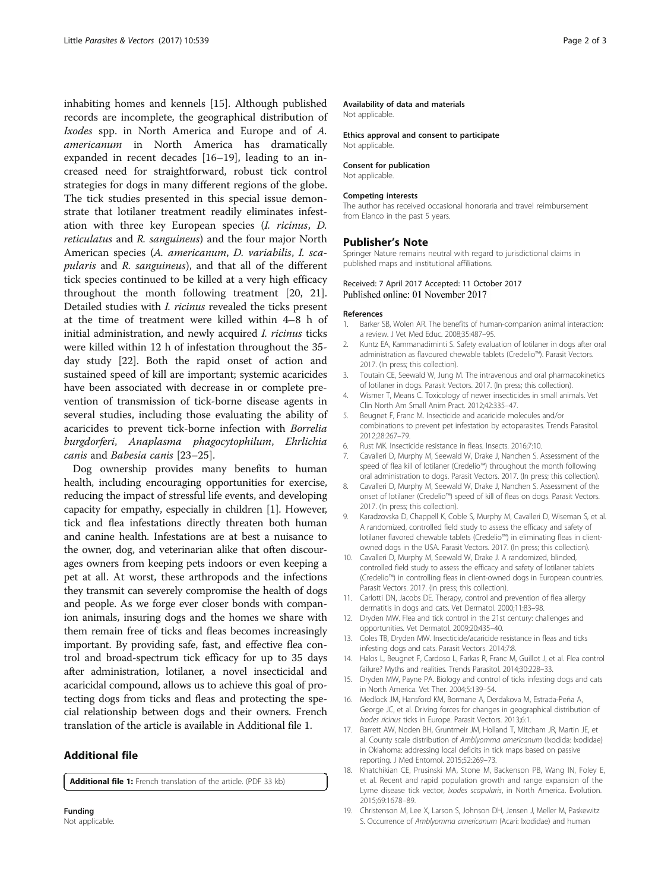<span id="page-1-0"></span>inhabiting homes and kennels [15]. Although published records are incomplete, the geographical distribution of Ixodes spp. in North America and Europe and of A. americanum in North America has dramatically expanded in recent decades [16–19], leading to an increased need for straightforward, robust tick control strategies for dogs in many different regions of the globe. The tick studies presented in this special issue demonstrate that lotilaner treatment readily eliminates infestation with three key European species (I. ricinus, D. reticulatus and R. sanguineus) and the four major North American species (A. americanum, D. variabilis, I. scapularis and R. sanguineus), and that all of the different tick species continued to be killed at a very high efficacy throughout the month following treatment [[20, 21](#page-2-0)]. Detailed studies with I. ricinus revealed the ticks present at the time of treatment were killed within 4–8 h of initial administration, and newly acquired I. ricinus ticks were killed within 12 h of infestation throughout the 35 day study [\[22](#page-2-0)]. Both the rapid onset of action and sustained speed of kill are important; systemic acaricides have been associated with decrease in or complete prevention of transmission of tick-borne disease agents in several studies, including those evaluating the ability of acaricides to prevent tick-borne infection with Borrelia burgdorferi, Anaplasma phagocytophilum, Ehrlichia canis and Babesia canis [\[23](#page-2-0)–[25\]](#page-2-0).

Dog ownership provides many benefits to human health, including encouraging opportunities for exercise, reducing the impact of stressful life events, and developing capacity for empathy, especially in children [1]. However, tick and flea infestations directly threaten both human and canine health. Infestations are at best a nuisance to the owner, dog, and veterinarian alike that often discourages owners from keeping pets indoors or even keeping a pet at all. At worst, these arthropods and the infections they transmit can severely compromise the health of dogs and people. As we forge ever closer bonds with companion animals, insuring dogs and the homes we share with them remain free of ticks and fleas becomes increasingly important. By providing safe, fast, and effective flea control and broad-spectrum tick efficacy for up to 35 days after administration, lotilaner, a novel insecticidal and acaricidal compound, allows us to achieve this goal of protecting dogs from ticks and fleas and protecting the special relationship between dogs and their owners. French translation of the article is available in Additional file 1.

### Additional file

[Additional file 1:](dx.doi.org/10.1186/s13071-017-2471-3) French translation of the article. (PDF 33 kb)

Funding Not applicable.

#### Availability of data and materials

Not applicable.

#### Ethics approval and consent to participate Not applicable.

Consent for publication

Not applicable.

#### Competing interests

The author has received occasional honoraria and travel reimbursement from Elanco in the past 5 years.

#### Publisher's Note

Springer Nature remains neutral with regard to jurisdictional claims in published maps and institutional affiliations.

#### Received: 7 April 2017 Accepted: 11 October 2017 Published online: 01 November 2017

#### References

- 1. Barker SB, Wolen AR. The benefits of human-companion animal interaction: a review. J Vet Med Educ. 2008;35:487–95.
- 2. Kuntz EA, Kammanadiminti S. Safety evaluation of lotilaner in dogs after oral administration as flavoured chewable tablets (Credelio™). Parasit Vectors. 2017. (In press; this collection).
- 3. Toutain CE, Seewald W, Jung M. The intravenous and oral pharmacokinetics of lotilaner in dogs. Parasit Vectors. 2017. (In press; this collection).
- 4. Wismer T, Means C. Toxicology of newer insecticides in small animals. Vet Clin North Am Small Anim Pract. 2012;42:335–47.
- 5. Beugnet F, Franc M. Insecticide and acaricide molecules and/or combinations to prevent pet infestation by ectoparasites. Trends Parasitol. 2012;28:267–79.
- 6. Rust MK. Insecticide resistance in fleas. Insects. 2016;7:10.
- 7. Cavalleri D, Murphy M, Seewald W, Drake J, Nanchen S. Assessment of the speed of flea kill of lotilaner (Credelio™) throughout the month following oral administration to dogs. Parasit Vectors. 2017. (In press; this collection).
- 8. Cavalleri D, Murphy M, Seewald W, Drake J, Nanchen S. Assessment of the onset of lotilaner (Credelio™) speed of kill of fleas on dogs. Parasit Vectors. 2017. (In press; this collection).
- 9. Karadzovska D, Chappell K, Coble S, Murphy M, Cavalleri D, Wiseman S, et al. A randomized, controlled field study to assess the efficacy and safety of lotilaner flavored chewable tablets (Credelio™) in eliminating fleas in clientowned dogs in the USA. Parasit Vectors. 2017. (In press; this collection).
- 10. Cavalleri D, Murphy M, Seewald W, Drake J. A randomized, blinded, controlled field study to assess the efficacy and safety of lotilaner tablets (Credelio™) in controlling fleas in client-owned dogs in European countries. Parasit Vectors. 2017. (In press; this collection).
- 11. Carlotti DN, Jacobs DE. Therapy, control and prevention of flea allergy dermatitis in dogs and cats. Vet Dermatol. 2000;11:83–98.
- 12. Dryden MW. Flea and tick control in the 21st century: challenges and opportunities. Vet Dermatol. 2009;20:435–40.
- 13. Coles TB, Dryden MW. Insecticide/acaricide resistance in fleas and ticks infesting dogs and cats. Parasit Vectors. 2014;7:8.
- 14. Halos L, Beugnet F, Cardoso L, Farkas R, Franc M, Guillot J, et al. Flea control failure? Myths and realities. Trends Parasitol. 2014;30:228–33.
- 15. Dryden MW, Payne PA. Biology and control of ticks infesting dogs and cats in North America. Vet Ther. 2004;5:139–54.
- 16. Medlock JM, Hansford KM, Bormane A, Derdakova M, Estrada-Peña A, George JC, et al. Driving forces for changes in geographical distribution of Ixodes ricinus ticks in Europe. Parasit Vectors. 2013;6:1.
- 17. Barrett AW, Noden BH, Gruntmeir JM, Holland T, Mitcham JR, Martin JE, et al. County scale distribution of Amblyomma americanum (Ixodida: Ixodidae) in Oklahoma: addressing local deficits in tick maps based on passive reporting. J Med Entomol. 2015;52:269–73.
- 18. Khatchikian CE, Prusinski MA, Stone M, Backenson PB, Wang IN, Foley E, et al. Recent and rapid population growth and range expansion of the Lyme disease tick vector, Ixodes scapularis, in North America. Evolution. 2015;69:1678–89.
- 19. Christenson M, Lee X, Larson S, Johnson DH, Jensen J, Meller M, Paskewitz S. Occurrence of Amblyomma americanum (Acari: Ixodidae) and human